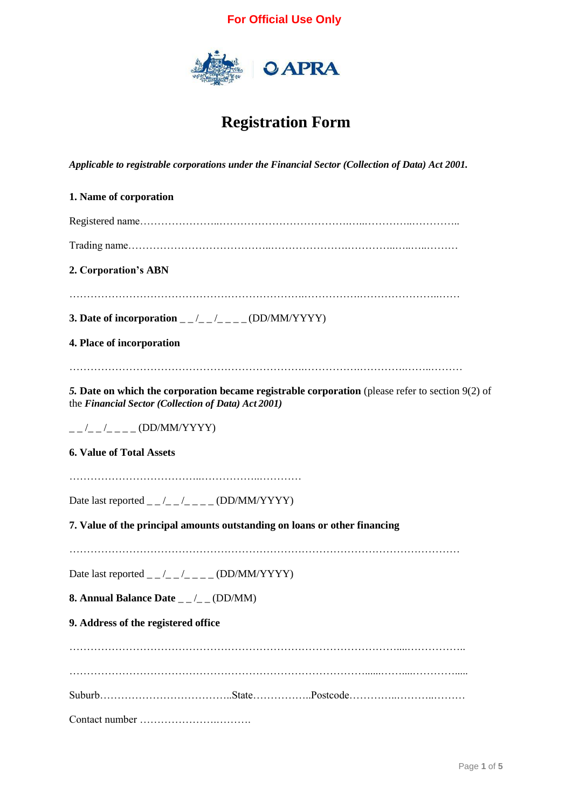

# **Registration Form**

*Applicable to registrable corporations under the Financial Sector (Collection of Data) Act 2001.*

| 1. Name of corporation                                                                                                                                    |
|-----------------------------------------------------------------------------------------------------------------------------------------------------------|
|                                                                                                                                                           |
|                                                                                                                                                           |
| 2. Corporation's ABN                                                                                                                                      |
| 3. Date of incorporation _ _/_ _/_ _ _ _ (DD/MM/YYYY)                                                                                                     |
| 4. Place of incorporation                                                                                                                                 |
| 5. Date on which the corporation became registrable corporation (please refer to section $9(2)$ of<br>the Financial Sector (Collection of Data) Act 2001) |
| $        (DD/MM/YYYY)$                                                                                                                                    |
| <b>6. Value of Total Assets</b>                                                                                                                           |
|                                                                                                                                                           |
| Date last reported _ _/_ _ /_ _ _ _ (DD/MM/YYYY)                                                                                                          |
| 7. Value of the principal amounts outstanding on loans or other financing                                                                                 |
|                                                                                                                                                           |
| Date last reported _ _/_ _/_ _ _ (DD/MM/YYYY)                                                                                                             |
| 8. Annual Balance Date $_{-}/_{-}$ (DD/MM)                                                                                                                |
| 9. Address of the registered office                                                                                                                       |
|                                                                                                                                                           |
|                                                                                                                                                           |
|                                                                                                                                                           |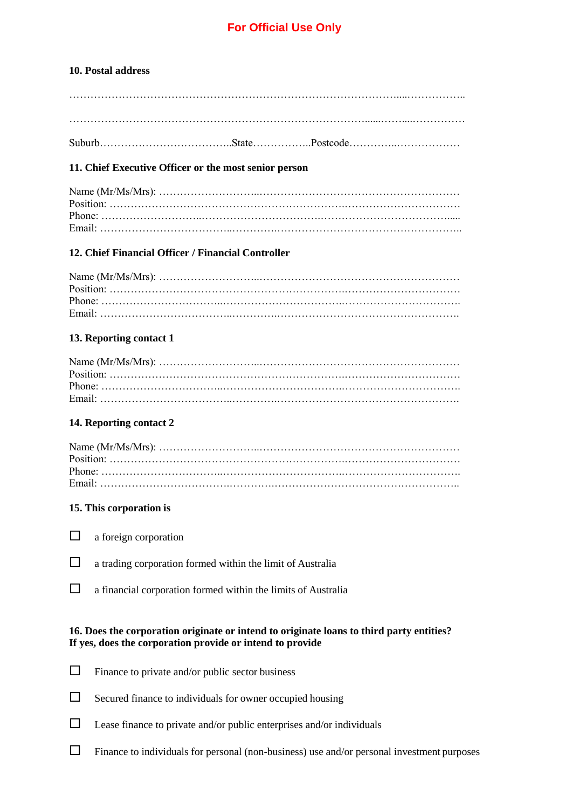## **10. Postal address**

| $\sim$ |  |  |
|--------|--|--|
|--------|--|--|

## **11. Chief Executive Officer or the most senior person**

## **12. Chief Financial Officer / Financial Controller**

## **13. Reporting contact 1**

## **14. Reporting contact 2**

## **15. This corporation is**

- $\Box$  a foreign corporation
- $\Box$  a trading corporation formed within the limit of Australia
- $\Box$  a financial corporation formed within the limits of Australia

## **16. Does the corporation originate or intend to originate loans to third party entities? If yes, does the corporation provide or intend to provide**

- $\Box$  Finance to private and/or public sector business
- $\Box$  Secured finance to individuals for owner occupied housing
- $\Box$  Lease finance to private and/or public enterprises and/or individuals
- $\Box$  Finance to individuals for personal (non-business) use and/or personal investment purposes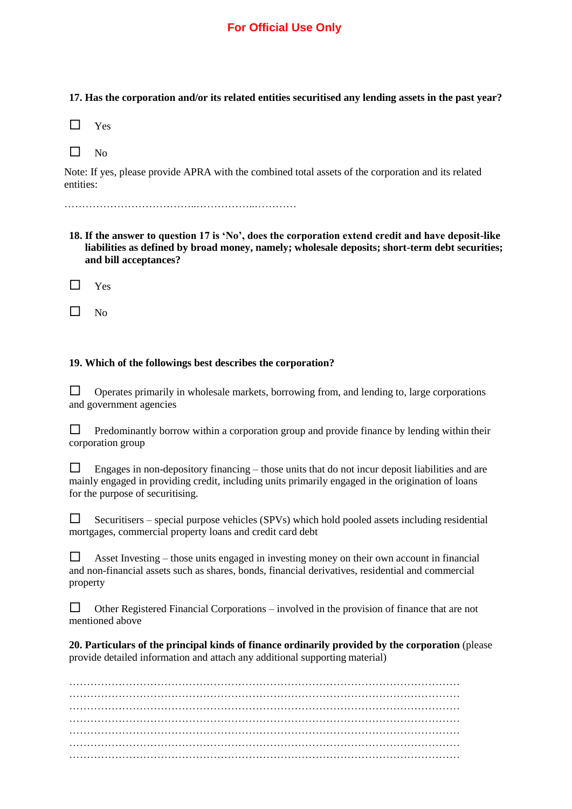**17. Has the corporation and/or its related entities securitised any lending assets in the past year?**

| v<br>۰. |  |
|---------|--|
|---------|--|

| ۰, |
|----|
|    |

Note: If yes, please provide APRA with the combined total assets of the corporation and its related entities:

………………………………..……………..…………

**18. If the answer to question 17 is 'No', does the corporation extend credit and have deposit-like liabilities as defined by broad money, namely; wholesale deposits; short-term debt securities; and bill acceptances?**

 $\Box$  Yes

 $\Box$  No

## **19. Which of the followings best describes the corporation?**

 $\Box$  Operates primarily in wholesale markets, borrowing from, and lending to, large corporations and government agencies

 $\Box$  Predominantly borrow within a corporation group and provide finance by lending within their corporation group

 $\Box$  Engages in non-depository financing – those units that do not incur deposit liabilities and are mainly engaged in providing credit, including units primarily engaged in the origination of loans for the purpose of securitising.

| Securitisers – special purpose vehicles (SPVs) which hold pooled assets including residential |
|-----------------------------------------------------------------------------------------------|
| mortgages, commercial property loans and credit card debt                                     |

 $\Box$  Asset Investing – those units engaged in investing money on their own account in financial and non-financial assets such as shares, bonds, financial derivatives, residential and commercial property

 $\Box$  Other Registered Financial Corporations – involved in the provision of finance that are not mentioned above

**20. Particulars of the principal kinds of finance ordinarily provided by the corporation** (please provide detailed information and attach any additional supporting material)

………………………………………………………………………………………………… ………………………………………………………………………………………………… ………………………………………………………………………………………………… ………………………………………………………………………………………………… ………………………………………………………………………………………………… ………………………………………………………………………………………………… …………………………………………………………………………………………………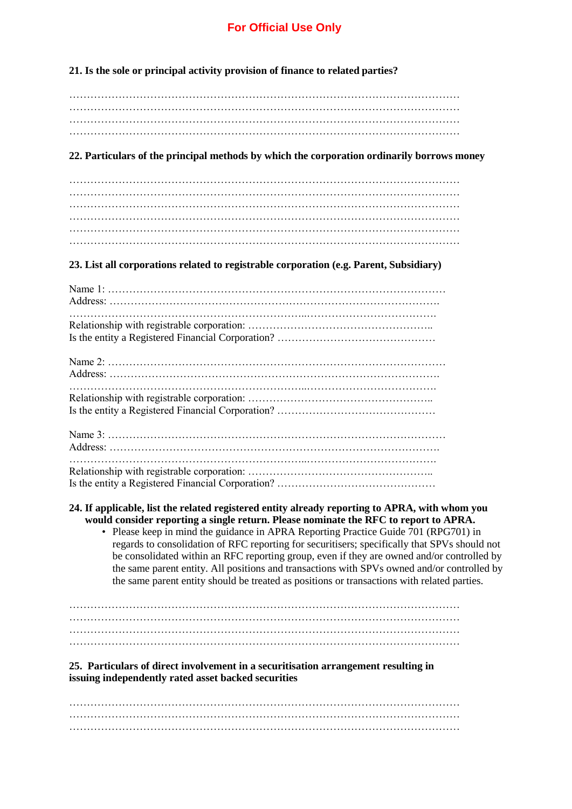**21. Is the sole or principal activity provision of finance to related parties?**

………………………………………………………………………………………………… ………………………………………………………………………………………………… ………………………………………………………………………………………………… …………………………………………………………………………………………………

## **22. Particulars of the principal methods by which the corporation ordinarily borrows money**

## **23. List all corporations related to registrable corporation (e.g. Parent, Subsidiary)**

#### **24. If applicable, list the related registered entity already reporting to APRA, with whom you would consider reporting a single return. Please nominate the RFC to report to APRA.**

• Please keep in mind the guidance in APRA Reporting Practice Guide 701 (RPG701) in regards to consolidation of RFC reporting for securitisers; specifically that SPVs should not be consolidated within an RFC reporting group, even if they are owned and/or controlled by the same parent entity. All positions and transactions with SPVs owned and/or controlled by the same parent entity should be treated as positions or transactions with related parties.

………………………………………………………………………………………………… ………………………………………………………………………………………………… ………………………………………………………………………………………………… …………………………………………………………………………………………………

## **25. Particulars of direct involvement in a securitisation arrangement resulting in issuing independently rated asset backed securities**

………………………………………………………………………………………………… ………………………………………………………………………………………………… …………………………………………………………………………………………………